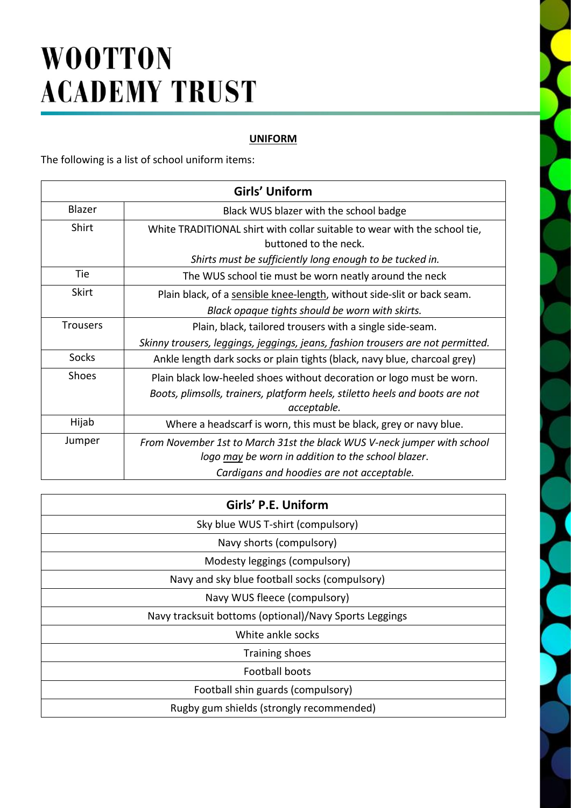# **WOOTTON ACADEMY TRUST**

### **UNIFORM**

The following is a list of school uniform items:

| Girls' Uniform  |                                                                                                                                                                            |  |
|-----------------|----------------------------------------------------------------------------------------------------------------------------------------------------------------------------|--|
| Blazer          | Black WUS blazer with the school badge                                                                                                                                     |  |
| <b>Shirt</b>    | White TRADITIONAL shirt with collar suitable to wear with the school tie,<br>buttoned to the neck.                                                                         |  |
|                 | Shirts must be sufficiently long enough to be tucked in.                                                                                                                   |  |
| Tie             | The WUS school tie must be worn neatly around the neck                                                                                                                     |  |
| <b>Skirt</b>    | Plain black, of a sensible knee-length, without side-slit or back seam.<br>Black opaque tights should be worn with skirts.                                                 |  |
| <b>Trousers</b> | Plain, black, tailored trousers with a single side-seam.<br>Skinny trousers, leggings, jeggings, jeans, fashion trousers are not permitted.                                |  |
| Socks           | Ankle length dark socks or plain tights (black, navy blue, charcoal grey)                                                                                                  |  |
| Shoes           | Plain black low-heeled shoes without decoration or logo must be worn.<br>Boots, plimsolls, trainers, platform heels, stiletto heels and boots are not<br>acceptable.       |  |
| Hijab           | Where a headscarf is worn, this must be black, grey or navy blue.                                                                                                          |  |
| Jumper          | From November 1st to March 31st the black WUS V-neck jumper with school<br>logo may be worn in addition to the school blazer.<br>Cardigans and hoodies are not acceptable. |  |

| Girls' P.E. Uniform                                    |
|--------------------------------------------------------|
| Sky blue WUS T-shirt (compulsory)                      |
| Navy shorts (compulsory)                               |
| Modesty leggings (compulsory)                          |
| Navy and sky blue football socks (compulsory)          |
| Navy WUS fleece (compulsory)                           |
| Navy tracksuit bottoms (optional)/Navy Sports Leggings |
| White ankle socks                                      |
| Training shoes                                         |
| Football boots                                         |
| Football shin guards (compulsory)                      |
| Rugby gum shields (strongly recommended)               |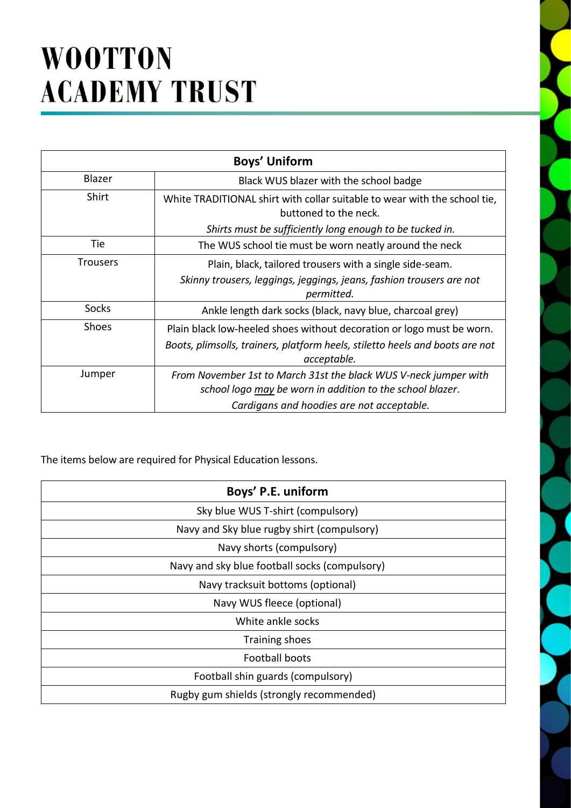# **WOOTTON ACADEMY TRUST**

| <b>Boys' Uniform</b> |                                                                                                                                                                            |  |
|----------------------|----------------------------------------------------------------------------------------------------------------------------------------------------------------------------|--|
| Blazer               | Black WUS blazer with the school badge                                                                                                                                     |  |
| Shirt                | White TRADITIONAL shirt with collar suitable to wear with the school tie,<br>buttoned to the neck.<br>Shirts must be sufficiently long enough to be tucked in.             |  |
| Tie                  | The WUS school tie must be worn neatly around the neck                                                                                                                     |  |
| <b>Trousers</b>      | Plain, black, tailored trousers with a single side-seam.<br>Skinny trousers, leggings, jeggings, jeans, fashion trousers are not<br>permitted.                             |  |
| Socks                | Ankle length dark socks (black, navy blue, charcoal grey)                                                                                                                  |  |
| <b>Shoes</b>         | Plain black low-heeled shoes without decoration or logo must be worn.<br>Boots, plimsolls, trainers, platform heels, stiletto heels and boots are not<br>acceptable.       |  |
| Jumper               | From November 1st to March 31st the black WUS V-neck jumper with<br>school logo may be worn in addition to the school blazer.<br>Cardigans and hoodies are not acceptable. |  |

The items below are required for Physical Education lessons.

| Boys' P.E. uniform                            |
|-----------------------------------------------|
| Sky blue WUS T-shirt (compulsory)             |
| Navy and Sky blue rugby shirt (compulsory)    |
| Navy shorts (compulsory)                      |
| Navy and sky blue football socks (compulsory) |
| Navy tracksuit bottoms (optional)             |
| Navy WUS fleece (optional)                    |
| White ankle socks                             |
| <b>Training shoes</b>                         |
| <b>Football boots</b>                         |
| Football shin guards (compulsory)             |
| Rugby gum shields (strongly recommended)      |
|                                               |